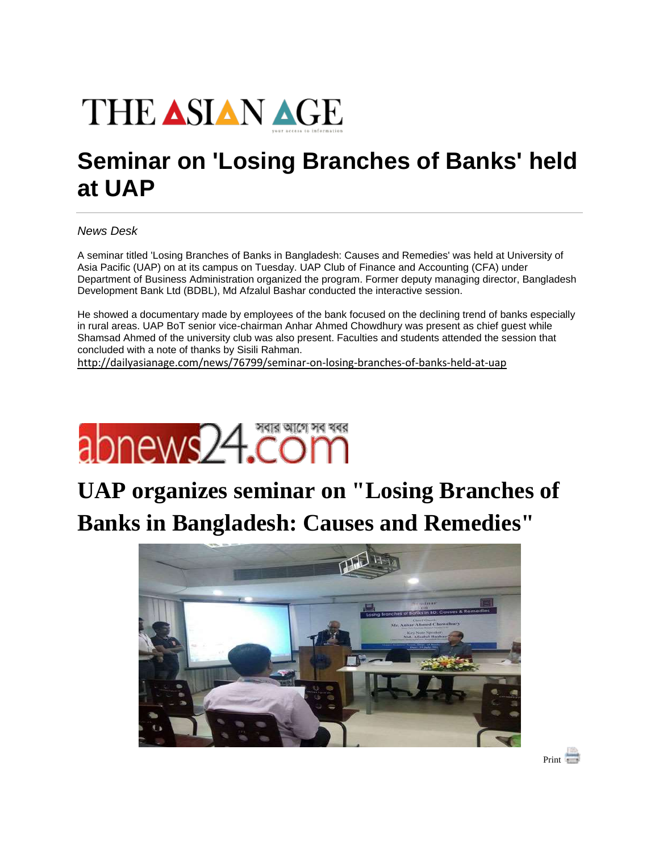

## **Seminar on 'Losing Branches of Banks' held at UAP**

*News Desk*

A seminar titled 'Losing Branches of Banks in Bangladesh: Causes and Remedies' was held at University of Asia Pacific (UAP) on at its campus on Tuesday. UAP Club of Finance and Accounting (CFA) under Department of Business Administration organized the program. Former deputy managing director, Bangladesh Development Bank Ltd (BDBL), Md Afzalul Bashar conducted the interactive session.

He showed a documentary made by employees of the bank focused on the declining trend of banks especially in rural areas. UAP BoT senior vice-chairman Anhar Ahmed Chowdhury was present as chief guest while Shamsad Ahmed of the university club was also present. Faculties and students attended the session that concluded with a note of thanks by Sisili Rahman.

<http://dailyasianage.com/news/76799/seminar-on-losing-branches-of-banks-held-at-uap>



## **UAP organizes seminar on "Losing Branches of Banks in Bangladesh: Causes and Remedies"**